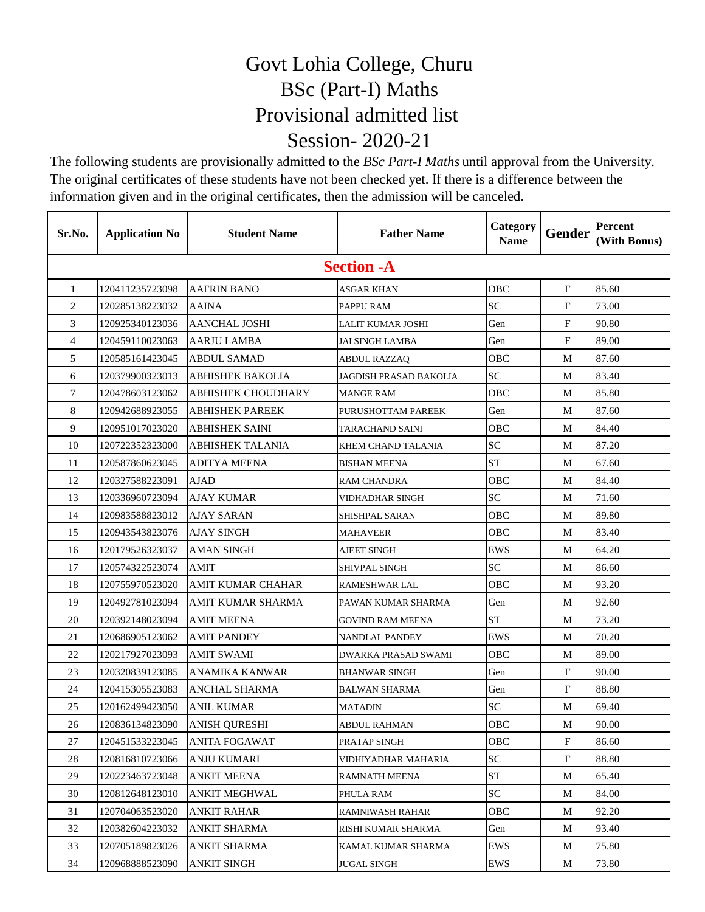## Govt Lohia College, Churu BSc (Part-I) Maths Provisional admitted list Session- 2020-21

The following students are provisionally admitted to the *BSc Part-I Maths* until approval from the University. The original certificates of these students have not been checked yet. If there is a difference between the information given and in the original certificates, then the admission will be canceled.

| Sr.No.         | <b>Application No</b> | <b>Student Name</b>     | <b>Father Name</b>     | Category<br><b>Name</b> | <b>Gender</b>             | Percent<br>(With Bonus) |  |  |
|----------------|-----------------------|-------------------------|------------------------|-------------------------|---------------------------|-------------------------|--|--|
|                | <b>Section -A</b>     |                         |                        |                         |                           |                         |  |  |
| $\mathbf{1}$   | 120411235723098       | <b>AAFRIN BANO</b>      | <b>ASGAR KHAN</b>      | <b>OBC</b>              | F                         | 85.60                   |  |  |
| 2              | 120285138223032       | <b>AAINA</b>            | PAPPU RAM              | <b>SC</b>               | $\mathbf F$               | 73.00                   |  |  |
| 3              | 120925340123036       | <b>AANCHAL JOSHI</b>    | LALIT KUMAR JOSHI      | Gen                     | $\mathbf F$               | 90.80                   |  |  |
| $\overline{4}$ | 120459110023063       | <b>AARJU LAMBA</b>      | <b>JAI SINGH LAMBA</b> | Gen                     | $\mathbf F$               | 89.00                   |  |  |
| 5              | 120585161423045       | <b>ABDUL SAMAD</b>      | ABDUL RAZZAQ           | OBC                     | М                         | 87.60                   |  |  |
| 6              | 120379900323013       | <b>ABHISHEK BAKOLIA</b> | JAGDISH PRASAD BAKOLIA | <b>SC</b>               | М                         | 83.40                   |  |  |
| 7              | 120478603123062       | ABHISHEK CHOUDHARY      | <b>MANGE RAM</b>       | OBC                     | М                         | 85.80                   |  |  |
| 8              | 120942688923055       | <b>ABHISHEK PAREEK</b>  | PURUSHOTTAM PAREEK     | Gen                     | М                         | 87.60                   |  |  |
| 9              | 120951017023020       | ABHISHEK SAINI          | TARACHAND SAINI        | OBC                     | М                         | 84.40                   |  |  |
| 10             | 120722352323000       | <b>ABHISHEK TALANIA</b> | KHEM CHAND TALANIA     | <b>SC</b>               | М                         | 87.20                   |  |  |
| 11             | 120587860623045       | <b>ADITYA MEENA</b>     | <b>BISHAN MEENA</b>    | <b>ST</b>               | М                         | 67.60                   |  |  |
| 12             | 120327588223091       | <b>AJAD</b>             | <b>RAM CHANDRA</b>     | <b>OBC</b>              | М                         | 84.40                   |  |  |
| 13             | 120336960723094       | <b>AJAY KUMAR</b>       | VIDHADHAR SINGH        | <b>SC</b>               | М                         | 71.60                   |  |  |
| 14             | 120983588823012       | <b>AJAY SARAN</b>       | SHISHPAL SARAN         | <b>OBC</b>              | М                         | 89.80                   |  |  |
| 15             | 120943543823076       | <b>AJAY SINGH</b>       | <b>MAHAVEER</b>        | OBC                     | М                         | 83.40                   |  |  |
| 16             | 120179526323037       | AMAN SINGH              | AJEET SINGH            | <b>EWS</b>              | М                         | 64.20                   |  |  |
| 17             | 120574322523074       | <b>AMIT</b>             | <b>SHIVPAL SINGH</b>   | <b>SC</b>               | М                         | 86.60                   |  |  |
| 18             | 120755970523020       | AMIT KUMAR CHAHAR       | RAMESHWAR LAL          | OBC                     | М                         | 93.20                   |  |  |
| 19             | 120492781023094       | AMIT KUMAR SHARMA       | PAWAN KUMAR SHARMA     | Gen                     | М                         | 92.60                   |  |  |
| 20             | 120392148023094       | <b>AMIT MEENA</b>       | GOVIND RAM MEENA       | <b>ST</b>               | М                         | 73.20                   |  |  |
| 21             | 120686905123062       | <b>AMIT PANDEY</b>      | NANDLAL PANDEY         | EWS                     | М                         | 70.20                   |  |  |
| 22             | 120217927023093       | AMIT SWAMI              | DWARKA PRASAD SWAMI    | OBC                     | М                         | 89.00                   |  |  |
| 23             | 120320839123085       | ANAMIKA KANWAR          | <b>BHANWAR SINGH</b>   | Gen                     | F                         | 90.00                   |  |  |
| 24             | 120415305523083       | <b>ANCHAL SHARMA</b>    | BALWAN SHARMA          | Gen                     | F                         | 88.80                   |  |  |
| 25             | 120162499423050       | <b>ANIL KUMAR</b>       | <b>MATADIN</b>         | <b>SC</b>               | M                         | 69.40                   |  |  |
| 26             | 120836134823090       | <b>ANISH QURESHI</b>    | ABDUL RAHMAN           | <b>OBC</b>              | М                         | 90.00                   |  |  |
| 27             | 120451533223045       | <b>ANITA FOGAWAT</b>    | PRATAP SINGH           | OBC                     | $\boldsymbol{\mathrm{F}}$ | 86.60                   |  |  |
| 28             | 120816810723066       | <b>ANJU KUMARI</b>      | VIDHIYADHAR MAHARIA    | SC                      | F                         | 88.80                   |  |  |
| 29             | 120223463723048       | <b>ANKIT MEENA</b>      | <b>RAMNATH MEENA</b>   | <b>ST</b>               | M                         | 65.40                   |  |  |
| 30             | 120812648123010       | ANKIT MEGHWAL           | PHULA RAM              | SC                      | М                         | 84.00                   |  |  |
| 31             | 120704063523020       | <b>ANKIT RAHAR</b>      | <b>RAMNIWASH RAHAR</b> | OBC                     | М                         | 92.20                   |  |  |
| 32             | 120382604223032       | <b>ANKIT SHARMA</b>     | RISHI KUMAR SHARMA     | Gen                     | М                         | 93.40                   |  |  |
| 33             | 120705189823026       | ANKIT SHARMA            | KAMAL KUMAR SHARMA     | EWS                     | М                         | 75.80                   |  |  |
| 34             | 120968888523090       | ANKIT SINGH             | <b>JUGAL SINGH</b>     | EWS                     | M                         | 73.80                   |  |  |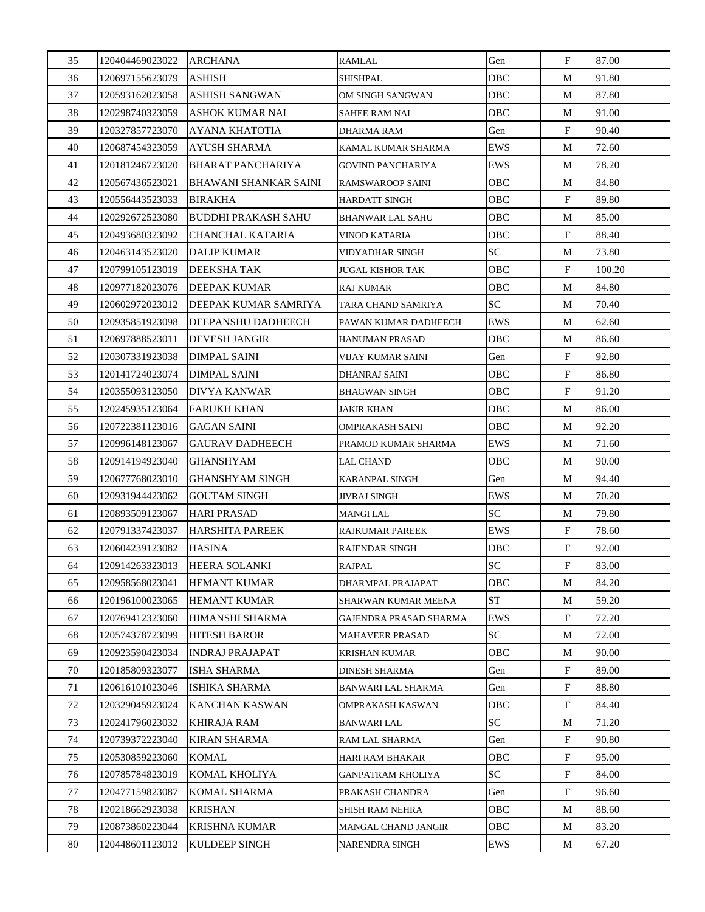| 35 | 120404469023022 | <b>ARCHANA</b>               | <b>RAMLAL</b>             | Gen        | $\mathbf{F}$ | 87.00  |
|----|-----------------|------------------------------|---------------------------|------------|--------------|--------|
| 36 | 120697155623079 | ASHISH                       | <b>SHISHPAL</b>           | <b>OBC</b> | M            | 91.80  |
| 37 | 120593162023058 | <b>ASHISH SANGWAN</b>        | OM SINGH SANGWAN          | <b>OBC</b> | M            | 87.80  |
| 38 | 120298740323059 | ASHOK KUMAR NAI              | SAHEE RAM NAI             | OBC        | M            | 91.00  |
| 39 | 120327857723070 | <b>AYANA KHATOTIA</b>        | DHARMA RAM                | Gen        | F            | 90.40  |
| 40 | 120687454323059 | <b>AYUSH SHARMA</b>          | KAMAL KUMAR SHARMA        | <b>EWS</b> | M            | 72.60  |
| 41 | 120181246723020 | <b>BHARAT PANCHARIYA</b>     | <b>GOVIND PANCHARIYA</b>  | <b>EWS</b> | M            | 78.20  |
| 42 | 120567436523021 | <b>BHAWANI SHANKAR SAINI</b> | <b>RAMSWAROOP SAINI</b>   | OBC        | M            | 84.80  |
| 43 | 120556443523033 | <b>BIRAKHA</b>               | <b>HARDATT SINGH</b>      | OBC        | F            | 89.80  |
| 44 | 120292672523080 | <b>BUDDHI PRAKASH SAHU</b>   | <b>BHANWAR LAL SAHU</b>   | OBC        | M            | 85.00  |
| 45 | 120493680323092 | CHANCHAL KATARIA             | <b>VINOD KATARIA</b>      | OBC        | $\mathbf{F}$ | 88.40  |
| 46 | 120463143523020 | <b>DALIP KUMAR</b>           | VIDYADHAR SINGH           | <b>SC</b>  | M            | 73.80  |
| 47 | 120799105123019 | DEEKSHA TAK                  | JUGAL KISHOR TAK          | OBC        | $\mathbf{F}$ | 100.20 |
| 48 | 120977182023076 | DEEPAK KUMAR                 | <b>RAJ KUMAR</b>          | OBC        | M            | 84.80  |
| 49 | 120602972023012 | DEEPAK KUMAR SAMRIYA         | TARA CHAND SAMRIYA        | <b>SC</b>  | M            | 70.40  |
| 50 | 120935851923098 | DEEPANSHU DADHEECH           | PAWAN KUMAR DADHEECH      | <b>EWS</b> | М            | 62.60  |
| 51 | 120697888523011 | DEVESH JANGIR                | HANUMAN PRASAD            | OBC        | M            | 86.60  |
| 52 | 120307331923038 | DIMPAL SAINI                 | VIJAY KUMAR SAINI         | Gen        | F            | 92.80  |
| 53 | 120141724023074 | DIMPAL SAINI                 | DHANRAJ SAINI             | OBC        | $\mathbf{F}$ | 86.80  |
| 54 | 120355093123050 | <b>DIVYA KANWAR</b>          | <b>BHAGWAN SINGH</b>      | OBC        | $\mathbf{F}$ | 91.20  |
| 55 | 120245935123064 | FARUKH KHAN                  | JAKIR KHAN                | OBC        | M            | 86.00  |
| 56 | 120722381123016 | <b>GAGAN SAINI</b>           | OMPRAKASH SAINI           | OBC        | M            | 92.20  |
| 57 | 120996148123067 | GAURAV DADHEECH              | PRAMOD KUMAR SHARMA       | EWS        | M            | 71.60  |
| 58 | 120914194923040 | GHANSHYAM                    | LAL CHAND                 | OBC        | M            | 90.00  |
| 59 | 120677768023010 | GHANSHYAM SINGH              | <b>KARANPAL SINGH</b>     | Gen        | М            | 94.40  |
| 60 | 120931944423062 | GOUTAM SINGH                 | <b>JIVRAJ SINGH</b>       | EWS        | M            | 70.20  |
| 61 | 120893509123067 | HARI PRASAD                  | <b>MANGI LAL</b>          | <b>SC</b>  | M            | 79.80  |
| 62 | 120791337423037 | <b>HARSHITA PAREEK</b>       | RAJKUMAR PAREEK           | EWS        | F            | 78.60  |
| 63 | 120604239123082 | <b>HASINA</b>                | <b>RAJENDAR SINGH</b>     | OBC        | $\mathbf{F}$ | 92.00  |
| 64 | 120914263323013 | HEERA SOLANKI                | <b>RAJPAL</b>             | SC         | $\mathbf F$  | 83.00  |
| 65 | 120958568023041 | <b>HEMANT KUMAR</b>          | DHARMPAL PRAJAPAT         | OBC        | М            | 84.20  |
| 66 | 120196100023065 | <b>HEMANT KUMAR</b>          | SHARWAN KUMAR MEENA       | <b>ST</b>  | M            | 59.20  |
| 67 | 120769412323060 | <b>HIMANSHI SHARMA</b>       | GAJENDRA PRASAD SHARMA    | EWS        | $_{\rm F}$   | 72.20  |
| 68 | 120574378723099 | <b>HITESH BAROR</b>          | <b>MAHAVEER PRASAD</b>    | <b>SC</b>  | М            | 72.00  |
| 69 | 120923590423034 | <b>INDRAJ PRAJAPAT</b>       | <b>KRISHAN KUMAR</b>      | OBC        | М            | 90.00  |
| 70 | 120185809323077 | ISHA SHARMA                  | <b>DINESH SHARMA</b>      | Gen        | F            | 89.00  |
| 71 | 120616101023046 | ISHIKA SHARMA                | <b>BANWARI LAL SHARMA</b> | Gen        | $_{\rm F}$   | 88.80  |
| 72 | 120329045923024 | <b>KANCHAN KASWAN</b>        | OMPRAKASH KASWAN          | OBC        | F            | 84.40  |
| 73 | 120241796023032 | KHIRAJA RAM                  | <b>BANWARI LAL</b>        | SC         | М            | 71.20  |
| 74 | 120739372223040 | KIRAN SHARMA                 | RAM LAL SHARMA            | Gen        | $_{\rm F}$   | 90.80  |
| 75 | 120530859223060 | KOMAL                        | <b>HARI RAM BHAKAR</b>    | OBC        | $_{\rm F}$   | 95.00  |
| 76 | 120785784823019 | KOMAL KHOLIYA                | <b>GANPATRAM KHOLIYA</b>  | SC         | F            | 84.00  |
| 77 | 120477159823087 | <b>KOMAL SHARMA</b>          | PRAKASH CHANDRA           | Gen        | $\mathbf{F}$ | 96.60  |
| 78 | 120218662923038 | <b>KRISHAN</b>               | SHISH RAM NEHRA           | OBC        | M            | 88.60  |
| 79 | 120873860223044 | <b>KRISHNA KUMAR</b>         | MANGAL CHAND JANGIR       | OBC        | M            | 83.20  |
| 80 | 120448601123012 | KULDEEP SINGH                | NARENDRA SINGH            | EWS        | M            | 67.20  |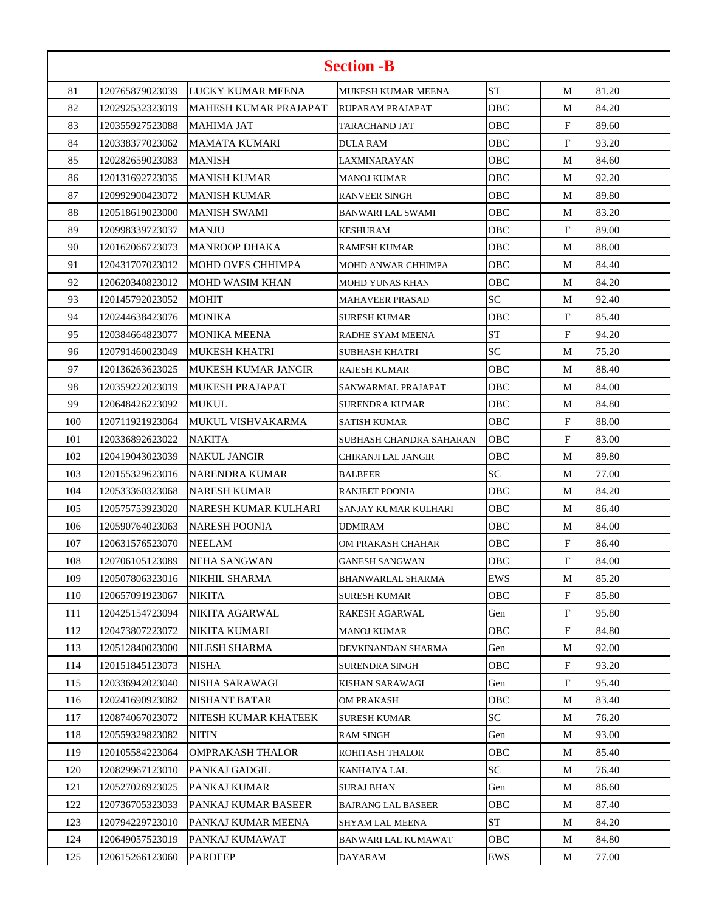| <b>Section -B</b> |                 |                              |                          |            |              |       |  |
|-------------------|-----------------|------------------------------|--------------------------|------------|--------------|-------|--|
| 81                | 120765879023039 | LUCKY KUMAR MEENA            | MUKESH KUMAR MEENA       | <b>ST</b>  | М            | 81.20 |  |
| 82                | 120292532323019 | <b>MAHESH KUMAR PRAJAPAT</b> | <b>RUPARAM PRAJAPAT</b>  | <b>OBC</b> | М            | 84.20 |  |
| 83                | 120355927523088 | <b>MAHIMA JAT</b>            | TARACHAND JAT            | OBC        | F            | 89.60 |  |
| 84                | 120338377023062 | <b>MAMATA KUMARI</b>         | DULA RAM                 | <b>OBC</b> | F            | 93.20 |  |
| 85                | 120282659023083 | <b>MANISH</b>                | LAXMINARAYAN             | OBC        | М            | 84.60 |  |
| 86                | 120131692723035 | <b>MANISH KUMAR</b>          | MANOJ KUMAR              | <b>OBC</b> | М            | 92.20 |  |
| 87                | 120992900423072 | <b>MANISH KUMAR</b>          | RANVEER SINGH            | OBC        | М            | 89.80 |  |
| 88                | 120518619023000 | <b>MANISH SWAMI</b>          | <b>BANWARI LAL SWAMI</b> | OBC        | М            | 83.20 |  |
| 89                | 120998339723037 | <b>MANJU</b>                 | KESHURAM                 | OBC        | $\mathbf{F}$ | 89.00 |  |
| 90                | 120162066723073 | <b>MANROOP DHAKA</b>         | RAMESH KUMAR             | OBC        | М            | 88.00 |  |
| 91                | 120431707023012 | <b>MOHD OVES CHHIMPA</b>     | MOHD ANWAR CHHIMPA       | OBC        | М            | 84.40 |  |
| 92                | 120620340823012 | <b>MOHD WASIM KHAN</b>       | MOHD YUNAS KHAN          | OBC        | М            | 84.20 |  |
| 93                | 120145792023052 | <b>MOHIT</b>                 | <b>MAHAVEER PRASAD</b>   | <b>SC</b>  | М            | 92.40 |  |
| 94                | 120244638423076 | <b>MONIKA</b>                | SURESH KUMAR             | OBC        | F            | 85.40 |  |
| 95                | 120384664823077 | <b>MONIKA MEENA</b>          | RADHE SYAM MEENA         | <b>ST</b>  | F            | 94.20 |  |
| 96                | 120791460023049 | <b>MUKESH KHATRI</b>         | SUBHASH KHATRI           | <b>SC</b>  | М            | 75.20 |  |
| 97                | 120136263623025 | MUKESH KUMAR JANGIR          | <b>RAJESH KUMAR</b>      | OBC        | М            | 88.40 |  |
| 98                | 120359222023019 | <b>MUKESH PRAJAPAT</b>       | SANWARMAL PRAJAPAT       | OBC        | М            | 84.00 |  |
| 99                | 120648426223092 | <b>MUKUL</b>                 | SURENDRA KUMAR           | OBC        | М            | 84.80 |  |
| 100               | 120711921923064 | MUKUL VISHVAKARMA            | SATISH KUMAR             | OBC        | F            | 88.00 |  |
| 101               | 120336892623022 | <b>NAKITA</b>                | SUBHASH CHANDRA SAHARAN  | OBC        | $\mathbf{F}$ | 83.00 |  |
| 102               | 120419043023039 | <b>NAKUL JANGIR</b>          | CHIRANJI LAL JANGIR      | овс        | М            | 89.80 |  |
| 103               | 120155329623016 | NARENDRA KUMAR               | <b>BALBEER</b>           | SC         | М            | 77.00 |  |
| 104               | 120533360323068 | <b>NARESH KUMAR</b>          | <b>RANJEET POONIA</b>    | OBC        | М            | 84.20 |  |
| 105               | 120575753923020 | NARESH KUMAR KULHARI         | SANJAY KUMAR KULHARI     | OBC        | М            | 86.40 |  |
| 106               | 120590764023063 | <b>NARESH POONIA</b>         | UDMIRAM                  | OBC        | М            | 84.00 |  |
| 107               | 120631576523070 | <b>NEELAM</b>                | OM PRAKASH CHAHAR        | OBC        | F            | 86.40 |  |
| 108               | 120706105123089 | <b>NEHA SANGWAN</b>          | <b>GANESH SANGWAN</b>    | OBC        | F            | 84.00 |  |
| 109               | 120507806323016 | <b>NIKHIL SHARMA</b>         | BHANWARLAL SHARMA        | EWS        | М            | 85.20 |  |
| 110               | 120657091923067 | <b>NIKITA</b>                | SURESH KUMAR             | OBC .      | F            | 85.80 |  |
| 111               | 120425154723094 | NIKITA AGARWAL               | RAKESH AGARWAL           | Gen        | F            | 95.80 |  |
| 112               | 120473807223072 | NIKITA KUMARI                | MANOJ KUMAR              | OBC .      | F            | 84.80 |  |
| 113               | 120512840023000 | <b>NILESH SHARMA</b>         | DEVKINANDAN SHARMA       | Gen        | M            | 92.00 |  |
| 114               | 120151845123073 | <b>NISHA</b>                 | SURENDRA SINGH           | OBC-       | F            | 93.20 |  |
| 115               | 120336942023040 | NISHA SARAWAGI               | KISHAN SARAWAGI          | Gen        | F            | 95.40 |  |
| 116               | 120241690923082 | NISHANT BATAR                | OM PRAKASH               | OBC        | M            | 83.40 |  |
| 117               | 120874067023072 | NITESH KUMAR KHATEEK         | SURESH KUMAR             | SC         | M            | 76.20 |  |
| 118               | 120559329823082 | <b>NITIN</b>                 | <b>RAM SINGH</b>         | Gen        | М            | 93.00 |  |
| 119               | 120105584223064 | <b>OMPRAKASH THALOR</b>      | ROHITASH THALOR          | OBC        | М            | 85.40 |  |
| 120               | 120829967123010 | PANKAJ GADGIL                | KANHAIYA LAL             | SC         | M            | 76.40 |  |
| 121               | 120527026923025 | PANKAJ KUMAR                 | SURAJ BHAN               | Gen        | М            | 86.60 |  |
| 122               | 120736705323033 | PANKAJ KUMAR BASEER          | BAJRANG LAL BASEER       | OBC .      | M            | 87.40 |  |
| 123               | 120794229723010 | PANKAJ KUMAR MEENA           | SHYAM LAL MEENA          | ST         | M            | 84.20 |  |
| 124               | 120649057523019 | PANKAJ KUMAWAT               | BANWARI LAL KUMAWAT      | OBC        | M            | 84.80 |  |
| 125               | 120615266123060 | <b>PARDEEP</b>               | DAYARAM                  | EWS        | М            | 77.00 |  |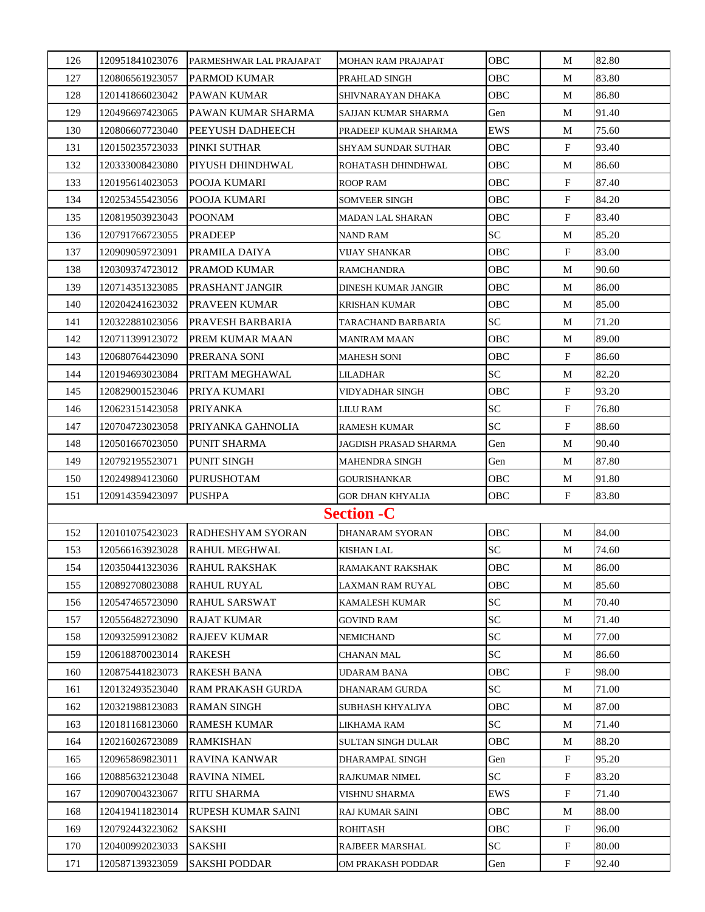| 126 | 120951841023076 | PARMESHWAR LAL PRAJAPAT  | <b>MOHAN RAM PRAJAPAT</b>  | OBC             | M                         | 82.80 |
|-----|-----------------|--------------------------|----------------------------|-----------------|---------------------------|-------|
| 127 | 120806561923057 | PARMOD KUMAR             | PRAHLAD SINGH              | OBC             | М                         | 83.80 |
| 128 | 120141866023042 | PAWAN KUMAR              | SHIVNARAYAN DHAKA          | OBC             | M                         | 86.80 |
| 129 | 120496697423065 | PAWAN KUMAR SHARMA       | SAJJAN KUMAR SHARMA        | Gen             | М                         | 91.40 |
| 130 | 120806607723040 | PEEYUSH DADHEECH         | PRADEEP KUMAR SHARMA       | EWS             | М                         | 75.60 |
| 131 | 120150235723033 | PINKI SUTHAR             | <b>SHYAM SUNDAR SUTHAR</b> | OBC             | F                         | 93.40 |
| 132 | 120333008423080 | PIYUSH DHINDHWAL         | ROHATASH DHINDHWAL         | OBC             | М                         | 86.60 |
| 133 | 120195614023053 | POOJA KUMARI             | ROOP RAM                   | OBC             | F                         | 87.40 |
| 134 | 120253455423056 | POOJA KUMARI             | <b>SOMVEER SINGH</b>       | OBC             | F                         | 84.20 |
| 135 | 120819503923043 | <b>POONAM</b>            | <b>MADAN LAL SHARAN</b>    | OBC             | F                         | 83.40 |
| 136 | 120791766723055 | <b>PRADEEP</b>           | <b>NAND RAM</b>            | <b>SC</b>       | M                         | 85.20 |
| 137 | 120909059723091 | PRAMILA DAIYA            | VIJAY SHANKAR              | OBC             | F                         | 83.00 |
| 138 | 120309374723012 | <b>PRAMOD KUMAR</b>      | <b>RAMCHANDRA</b>          | OBC             | М                         | 90.60 |
| 139 | 120714351323085 | PRASHANT JANGIR          | <b>DINESH KUMAR JANGIR</b> | OBC             | М                         | 86.00 |
| 140 | 120204241623032 | PRAVEEN KUMAR            | <b>KRISHAN KUMAR</b>       | OBC             | М                         | 85.00 |
| 141 | 120322881023056 | PRAVESH BARBARIA         | <b>TARACHAND BARBARIA</b>  | SC <sub>1</sub> | М                         | 71.20 |
| 142 | 120711399123072 | PREM KUMAR MAAN          | <b>MANIRAM MAAN</b>        | OBC             | М                         | 89.00 |
| 143 | 120680764423090 | PRERANA SONI             | <b>MAHESH SONI</b>         | OBC             | $\mathbf{F}$              | 86.60 |
| 144 | 120194693023084 | PRITAM MEGHAWAL          | LILADHAR                   | <b>SC</b>       | M                         | 82.20 |
| 145 | 120829001523046 | PRIYA KUMARI             | VIDYADHAR SINGH            | OBC             | F                         | 93.20 |
| 146 | 120623151423058 | PRIYANKA                 | LILU RAM                   | SC              | F                         | 76.80 |
| 147 | 120704723023058 | PRIYANKA GAHNOLIA        | <b>RAMESH KUMAR</b>        | <b>SC</b>       | $\mathbf{F}$              | 88.60 |
| 148 | 120501667023050 | PUNIT SHARMA             | JAGDISH PRASAD SHARMA      | Gen             | M                         | 90.40 |
| 149 | 120792195523071 | <b>PUNIT SINGH</b>       | <b>MAHENDRA SINGH</b>      | Gen             | M                         | 87.80 |
| 150 | 120249894123060 | PURUSHOTAM               | <b>GOURISHANKAR</b>        | OBC             | M                         | 91.80 |
| 151 | 120914359423097 | <b>PUSHPA</b>            | <b>GOR DHAN KHYALIA</b>    | OBC             | $\mathbf{F}$              | 83.80 |
|     |                 |                          | <b>Section - C</b>         |                 |                           |       |
| 152 | 120101075423023 | <b>RADHESHYAM SYORAN</b> | DHANARAM SYORAN            | OBC             | М                         | 84.00 |
| 153 | 120566163923028 | <b>RAHUL MEGHWAL</b>     | <b>KISHAN LAL</b>          | <b>SC</b>       | М                         | 74.60 |
| 154 | 120350441323036 | RAHUL RAKSHAK            | RAMAKANT RAKSHAK           | OBC             | $\mathbf{M}$              | 86.00 |
| 155 | 120892708023088 | <b>RAHUL RUYAL</b>       | LAXMAN RAM RUYAL           | <b>OBC</b>      | М                         | 85.60 |
| 156 | 120547465723090 | <b>RAHUL SARSWAT</b>     | <b>KAMALESH KUMAR</b>      | <b>SC</b>       | M                         | 70.40 |
| 157 | 120556482723090 | <b>RAJAT KUMAR</b>       | <b>GOVIND RAM</b>          | <b>SC</b>       | M                         | 71.40 |
| 158 | 120932599123082 | RAJEEV KUMAR             | NEMICHAND                  | SC <sub>1</sub> | М                         | 77.00 |
| 159 | 120618870023014 | <b>RAKESH</b>            | <b>CHANAN MAL</b>          | SC <sub>1</sub> | M                         | 86.60 |
| 160 | 120875441823073 | <b>RAKESH BANA</b>       | UDARAM BANA                | OBC             | F                         | 98.00 |
| 161 | 120132493523040 | RAM PRAKASH GURDA        | DHANARAM GURDA             | SC <sub>1</sub> | M                         | 71.00 |
| 162 | 120321988123083 | RAMAN SINGH              | SUBHASH KHYALIYA           | OBC             | M                         | 87.00 |
| 163 | 120181168123060 | <b>RAMESH KUMAR</b>      | LIKHAMA RAM                | SC <sub>1</sub> | M                         | 71.40 |
| 164 | 120216026723089 | <b>RAMKISHAN</b>         | <b>SULTAN SINGH DULAR</b>  | <b>OBC</b>      | M                         | 88.20 |
| 165 | 120965869823011 | <b>RAVINA KANWAR</b>     | DHARAMPAL SINGH            | Gen             | $\boldsymbol{\mathrm{F}}$ | 95.20 |
| 166 | 120885632123048 | <b>RAVINA NIMEL</b>      | <b>RAJKUMAR NIMEL</b>      | SC              | F                         | 83.20 |
| 167 | 120907004323067 | <b>RITU SHARMA</b>       | VISHNU SHARMA              | EWS             | $\mathbf{F}$              | 71.40 |
| 168 | 120419411823014 | RUPESH KUMAR SAINI       | RAJ KUMAR SAINI            | <b>OBC</b>      | М                         | 88.00 |
| 169 | 120792443223062 | <b>SAKSHI</b>            | <b>ROHITASH</b>            | OBC             | F                         | 96.00 |
| 170 | 120400992023033 | SAKSHI                   | RAJBEER MARSHAL            | SC              | F                         | 80.00 |
| 171 | 120587139323059 | <b>SAKSHI PODDAR</b>     | OM PRAKASH PODDAR          | Gen             | F                         | 92.40 |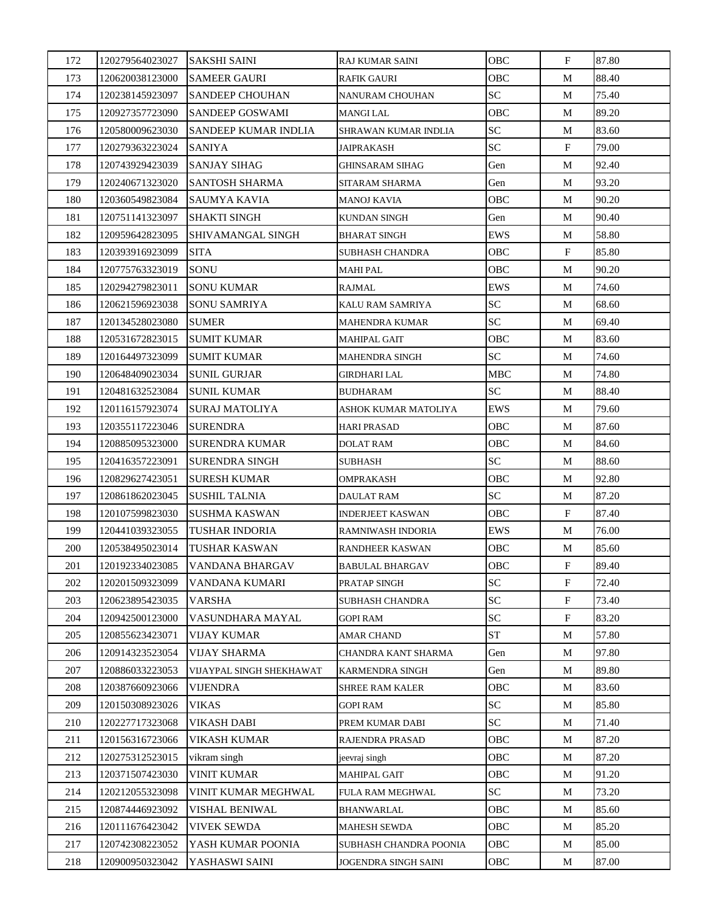| 172 | 120279564023027 | <b>SAKSHI SAINI</b>      | RAJ KUMAR SAINI         | OBC             | $\mathbf{F}$ | 87.80 |
|-----|-----------------|--------------------------|-------------------------|-----------------|--------------|-------|
| 173 | 120620038123000 | SAMEER GAURI             | <b>RAFIK GAURI</b>      | OBC             | M            | 88.40 |
| 174 | 120238145923097 | SANDEEP CHOUHAN          | NANURAM CHOUHAN         | SC <sub>1</sub> | M            | 75.40 |
| 175 | 120927357723090 | SANDEEP GOSWAMI          | <b>MANGI LAL</b>        | OBC             | М            | 89.20 |
| 176 | 120580009623030 | SANDEEP KUMAR INDLIA     | SHRAWAN KUMAR INDLIA    | <b>SC</b>       | M            | 83.60 |
| 177 | 120279363223024 | SANIYA                   | JAIPRAKASH              | SC              | $\mathbf{F}$ | 79.00 |
| 178 | 120743929423039 | <b>SANJAY SIHAG</b>      | <b>GHINSARAM SIHAG</b>  | Gen             | М            | 92.40 |
| 179 | 120240671323020 | SANTOSH SHARMA           | SITARAM SHARMA          | Gen             | М            | 93.20 |
| 180 | 120360549823084 | <b>SAUMYA KAVIA</b>      | <b>MANOJ KAVIA</b>      | OBC             | М            | 90.20 |
| 181 | 120751141323097 | SHAKTI SINGH             | KUNDAN SINGH            | Gen             | М            | 90.40 |
| 182 | 120959642823095 | SHIVAMANGAL SINGH        | <b>BHARAT SINGH</b>     | EWS             | M            | 58.80 |
| 183 | 120393916923099 | <b>SITA</b>              | <b>SUBHASH CHANDRA</b>  | OBC             | F            | 85.80 |
| 184 | 120775763323019 | <b>SONU</b>              | <b>MAHI PAL</b>         | OBC             | M            | 90.20 |
| 185 | 120294279823011 | <b>SONU KUMAR</b>        | RAJMAL                  | EWS             | M            | 74.60 |
| 186 | 120621596923038 | <b>SONU SAMRIYA</b>      | KALU RAM SAMRIYA        | <b>SC</b>       | М            | 68.60 |
| 187 | 120134528023080 | <b>SUMER</b>             | <b>MAHENDRA KUMAR</b>   | SC              | М            | 69.40 |
| 188 | 120531672823015 | <b>SUMIT KUMAR</b>       | <b>MAHIPAL GAIT</b>     | OBC             | М            | 83.60 |
| 189 | 120164497323099 | <b>SUMIT KUMAR</b>       | <b>MAHENDRA SINGH</b>   | SC              | М            | 74.60 |
| 190 | 120648409023034 | <b>SUNIL GURJAR</b>      | <b>GIRDHARI LAL</b>     | <b>MBC</b>      | М            | 74.80 |
| 191 | 120481632523084 | <b>SUNIL KUMAR</b>       | <b>BUDHARAM</b>         | SC <sub>1</sub> | M            | 88.40 |
| 192 | 120116157923074 | <b>SURAJ MATOLIYA</b>    | ASHOK KUMAR MATOLIYA    | EWS             | М            | 79.60 |
| 193 | 120355117223046 | <b>SURENDRA</b>          | <b>HARI PRASAD</b>      | OBC             | M            | 87.60 |
| 194 | 120885095323000 | <b>SURENDRA KUMAR</b>    | <b>DOLAT RAM</b>        | OBC             | М            | 84.60 |
| 195 | 120416357223091 | <b>SURENDRA SINGH</b>    | <b>SUBHASH</b>          | SC              | М            | 88.60 |
| 196 | 120829627423051 | SURESH KUMAR             | OMPRAKASH               | OBC             | М            | 92.80 |
| 197 | 120861862023045 | <b>SUSHIL TALNIA</b>     | <b>DAULAT RAM</b>       | SC <sub>1</sub> | M            | 87.20 |
| 198 | 120107599823030 | SUSHMA KASWAN            | <b>INDERJEET KASWAN</b> | OBC             | F            | 87.40 |
| 199 | 120441039323055 | TUSHAR INDORIA           | RAMNIWASH INDORIA       | EWS             | M            | 76.00 |
| 200 | 120538495023014 | TUSHAR KASWAN            | RANDHEER KASWAN         | OBC             | М            | 85.60 |
| 201 | 120192334023085 | VANDANA BHARGAV          | <b>BABULAL BHARGAV</b>  | OBC             | ${\bf F}$    | 89.40 |
| 202 | 120201509323099 | VANDANA KUMARI           | PRATAP SINGH            | SC              | F            | 72.40 |
| 203 | 120623895423035 | <b>VARSHA</b>            | <b>SUBHASH CHANDRA</b>  | <b>SC</b>       | $\mathbf{F}$ | 73.40 |
| 204 | 120942500123000 | VASUNDHARA MAYAL         | <b>GOPI RAM</b>         | SC <sub>1</sub> | F            | 83.20 |
| 205 | 120855623423071 | <b>VIJAY KUMAR</b>       | <b>AMAR CHAND</b>       | <b>ST</b>       | М            | 57.80 |
| 206 | 120914323523054 | <b>VIJAY SHARMA</b>      | CHANDRA KANT SHARMA     | Gen             | М            | 97.80 |
| 207 | 120886033223053 | VIJAYPAL SINGH SHEKHAWAT | <b>KARMENDRA SINGH</b>  | Gen             | M            | 89.80 |
| 208 | 120387660923066 | <b>VIJENDRA</b>          | <b>SHREE RAM KALER</b>  | OBC             | M            | 83.60 |
| 209 | 120150308923026 | <b>VIKAS</b>             | <b>GOPI RAM</b>         | <b>SC</b>       | M            | 85.80 |
| 210 | 120227717323068 | VIKASH DABI              | PREM KUMAR DABI         | SC <sub>1</sub> | М            | 71.40 |
| 211 | 120156316723066 | VIKASH KUMAR             | RAJENDRA PRASAD         | OBC             | М            | 87.20 |
| 212 | 120275312523015 | vikram singh             | jeevraj singh           | OBC             | M            | 87.20 |
| 213 | 120371507423030 | <b>VINIT KUMAR</b>       | <b>MAHIPAL GAIT</b>     | OBC             | М            | 91.20 |
| 214 | 120212055323098 | VINIT KUMAR MEGHWAL      | FULA RAM MEGHWAL        | SC              | М            | 73.20 |
| 215 | 120874446923092 | VISHAL BENIWAL           | <b>BHANWARLAL</b>       | <b>OBC</b>      | М            | 85.60 |
| 216 | 120111676423042 | <b>VIVEK SEWDA</b>       | <b>MAHESH SEWDA</b>     | OBC             | M            | 85.20 |
| 217 | 120742308223052 | YASH KUMAR POONIA        | SUBHASH CHANDRA POONIA  | OBC             | М            | 85.00 |
| 218 | 120900950323042 | YASHASWI SAINI           | JOGENDRA SINGH SAINI    | OBC             | М            | 87.00 |